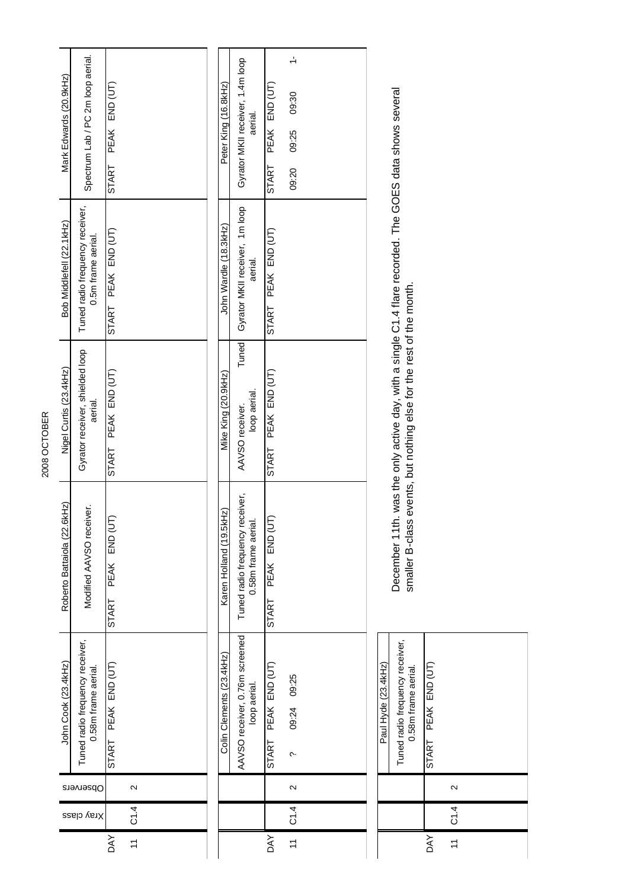| Mark Edwards (20.9kHz)      | Spectrum Lab / PC 2m loop aerial.                      | PEAK END (UT)<br><b>START</b> |                         | Peter King (16.8kHz)     | Gyrator MKII receiver, 1.4m loop<br>aerial.            | PEAK END (UT)<br><b>START</b> | $\frac{1}{\sqrt{2}}$<br>09:30<br>09:25<br>09:20 |  |                     |                                                                                                        |                        |                |
|-----------------------------|--------------------------------------------------------|-------------------------------|-------------------------|--------------------------|--------------------------------------------------------|-------------------------------|-------------------------------------------------|--|---------------------|--------------------------------------------------------------------------------------------------------|------------------------|----------------|
| Bob Middlefell (22.1kHz)    | Tuned radio frequency receiver,<br>0.5m frame aerial.  | PEAK END (UT)<br><b>START</b> |                         | John Wardle (18.3kHz)    | Gyrator MKII receiver, 1m loop<br>aerial.              | PEAK END (UT)<br>START        |                                                 |  |                     | December 11th. was the only active day, with a single C1.4 flare recorded. The GOES data shows several |                        |                |
| Nigel Curtis (23.4kHz)      | Gyrator receiver, shielded loop<br>aerial.             | PEAK END (UT)<br><b>START</b> |                         | Mike King (20.9kHz)      | Tuned<br>loop aerial.<br>AAVSO receiver.               | PEAK END (UT)<br><b>START</b> |                                                 |  |                     | smaller B-class events, but nothing else for the rest of the month.                                    |                        |                |
| Roberto Battaiola (22.6kHz) | Modified AAVSO receiver.                               | PEAK END (UT)<br><b>START</b> |                         | Karen Holland (19.5kHz)  | Tuned radio frequency receiver,<br>0.58m frame aerial. | PEAK END (UT)<br><b>START</b> |                                                 |  |                     |                                                                                                        |                        |                |
| John Cook (23.4kHz)         | Tuned radio frequency receiver,<br>0.58m frame aerial. | PEAK END (UT)<br><b>START</b> |                         | Colin Clements (23.4kHz) | AAVSO receiver, 0.76m screened<br>loop aerial.         | PEAK END (UT)<br><b>START</b> | 09:24 09:25<br>$\sim$                           |  | Paul Hyde (23.4kHz) | Tuned radio frequency receiver,<br>0.58m frame aerial.                                                 | PEAK END (UT)<br>START |                |
| Observers                   |                                                        |                               | $\mathbf{\Omega}$       |                          |                                                        |                               | $\sim$                                          |  |                     |                                                                                                        |                        | $\sim$         |
| Xray class                  |                                                        |                               | C1.4                    |                          |                                                        |                               | CT.4                                            |  |                     |                                                                                                        |                        | C1.4           |
|                             |                                                        | DAY                           | $\overline{\mathbf{r}}$ |                          |                                                        | <b>DAY</b>                    | $\overline{z}$                                  |  |                     |                                                                                                        | DAY                    | $\overline{z}$ |

2008 OCTOBER

2008 OCTOBER